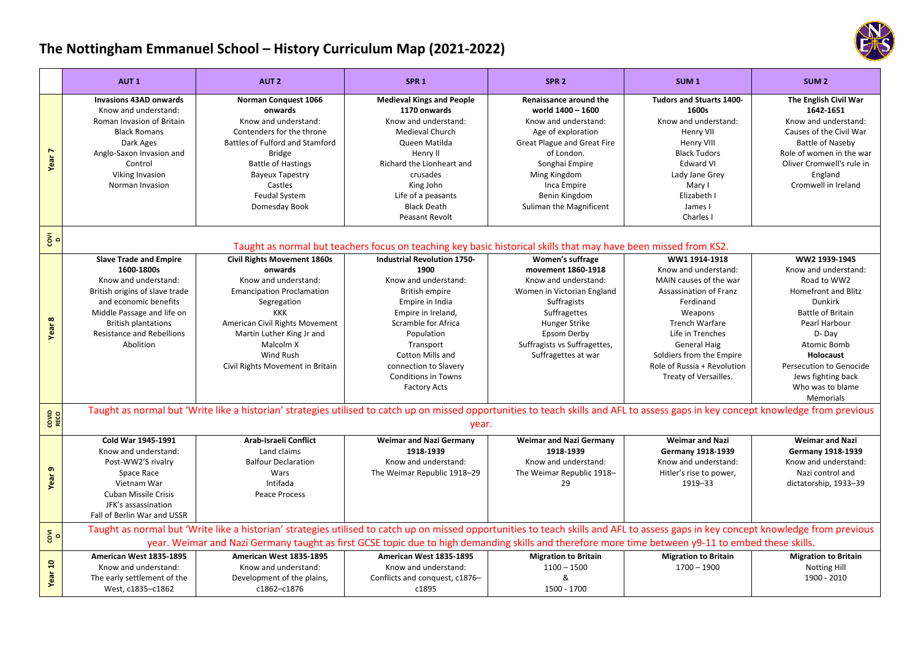## **The Nottingham Emmanuel School – History Curriculum Map (2021‐2022)**

|                                 | AUT <sub>1</sub>                                                                                                                                                                                                                            | AUT <sub>2</sub>                                                                                                                                                                                                                                                                                                                          | SPR <sub>1</sub>                                                                                                                                                                                                                                                                  | SPR <sub>2</sub>                                                                                                                                                                                                                           | SUM <sub>1</sub>                                                                                                                                                                                                                                                   | SUM <sub>2</sub>                                                                                                                                                                                                                                                                |  |  |  |
|---------------------------------|---------------------------------------------------------------------------------------------------------------------------------------------------------------------------------------------------------------------------------------------|-------------------------------------------------------------------------------------------------------------------------------------------------------------------------------------------------------------------------------------------------------------------------------------------------------------------------------------------|-----------------------------------------------------------------------------------------------------------------------------------------------------------------------------------------------------------------------------------------------------------------------------------|--------------------------------------------------------------------------------------------------------------------------------------------------------------------------------------------------------------------------------------------|--------------------------------------------------------------------------------------------------------------------------------------------------------------------------------------------------------------------------------------------------------------------|---------------------------------------------------------------------------------------------------------------------------------------------------------------------------------------------------------------------------------------------------------------------------------|--|--|--|
| $\overline{ }$<br>Year          | <b>Invasions 43AD onwards</b><br>Know and understand:<br>Roman Invasion of Britain<br><b>Black Romans</b><br>Dark Ages<br>Anglo-Saxon Invasion and<br>Control<br>Viking Invasion<br>Norman Invasion                                         | Norman Conquest 1066<br>onwards<br>Know and understand:<br>Contenders for the throne<br>Battles of Fulford and Stamford<br><b>Bridge</b><br><b>Battle of Hastings</b><br><b>Bayeux Tapestry</b><br>Castles<br>Feudal System<br>Domesday Book                                                                                              | <b>Medieval Kings and People</b><br>1170 onwards<br>Know and understand:<br><b>Medieval Church</b><br>Queen Matilda<br>Henry II<br>Richard the Lionheart and<br>crusades<br>King John<br>Life of a peasants<br><b>Black Death</b><br>Peasant Revolt                               | Renaissance around the<br>world 1400 - 1600<br>Know and understand:<br>Age of exploration<br><b>Great Plague and Great Fire</b><br>of London.<br>Songhai Empire<br>Ming Kingdom<br>Inca Empire<br>Benin Kingdom<br>Suliman the Magnificent | <b>Tudors and Stuarts 1400-</b><br>1600s<br>Know and understand:<br>Henry VII<br>Henry VIII<br><b>Black Tudors</b><br><b>Edward VI</b><br>Lady Jane Grey<br>Mary I<br>Elizabeth I<br>James I<br>Charles I                                                          | The English Civil War<br>1642-1651<br>Know and understand:<br>Causes of the Civil War<br>Battle of Naseby<br>Role of women in the war<br>Oliver Cromwell's rule in<br>England<br>Cromwell in Ireland                                                                            |  |  |  |
| $\overline{\delta}$ $\circ$     | Taught as normal but teachers focus on teaching key basic historical skills that may have been missed from KS2.                                                                                                                             |                                                                                                                                                                                                                                                                                                                                           |                                                                                                                                                                                                                                                                                   |                                                                                                                                                                                                                                            |                                                                                                                                                                                                                                                                    |                                                                                                                                                                                                                                                                                 |  |  |  |
| Year 8                          | <b>Slave Trade and Empire</b><br>1600-1800s<br>Know and understand:<br>British origins of slave trade<br>and economic benefits<br>Middle Passage and life on<br><b>British plantations</b><br><b>Resistance and Rebellions</b><br>Abolition | <b>Civil Rights Movement 1860s</b><br>onwards<br>Know and understand:<br><b>Emancipation Proclamation</b><br>Segregation<br><b>KKK</b><br>American Civil Rights Movement<br>Martin Luther King Jr and<br>Malcolm X<br>Wind Rush<br>Civil Rights Movement in Britain                                                                       | <b>Industrial Revolution 1750-</b><br>1900<br>Know and understand:<br>British empire<br>Empire in India<br>Empire in Ireland,<br>Scramble for Africa<br>Population<br>Transport<br>Cotton Mills and<br>connection to Slavery<br><b>Conditions in Towns</b><br><b>Factory Acts</b> | Women's suffrage<br>movement 1860-1918<br>Know and understand:<br>Women in Victorian England<br>Suffragists<br>Suffragettes<br><b>Hunger Strike</b><br>Epsom Derby<br>Suffragists vs Suffragettes,<br>Suffragettes at war                  | WW1 1914-1918<br>Know and understand:<br>MAIN causes of the war<br>Assassination of Franz<br>Ferdinand<br>Weapons<br><b>Trench Warfare</b><br>Life in Trenches<br>General Haig<br>Soldiers from the Empire<br>Role of Russia + Revolution<br>Treaty of Versailles. | WW2 1939-1945<br>Know and understand:<br>Road to WW2<br><b>Homefront and Blitz</b><br><b>Dunkirk</b><br><b>Battle of Britain</b><br>Pearl Harbour<br>D-Day<br>Atomic Bomb<br>Holocaust<br><b>Persecution to Genocide</b><br>Jews fighting back<br>Who was to blame<br>Memorials |  |  |  |
| COVID<br>RECO                   | Taught as normal but 'Write like a historian' strategies utilised to catch up on missed opportunities to teach skills and AFL to assess gaps in key concept knowledge from previous<br>year.                                                |                                                                                                                                                                                                                                                                                                                                           |                                                                                                                                                                                                                                                                                   |                                                                                                                                                                                                                                            |                                                                                                                                                                                                                                                                    |                                                                                                                                                                                                                                                                                 |  |  |  |
| $\sigma$<br>Year:               | <b>Cold War 1945-1991</b><br>Know and understand:<br>Post-WW2'S rivalry<br>Space Race<br>Vietnam War<br><b>Cuban Missile Crisis</b><br>JFK's assassination<br>Fall of Berlin War and USSR                                                   | <b>Arab-Israeli Conflict</b><br>Land claims<br><b>Balfour Declaration</b><br>Wars<br>Intifada<br>Peace Process                                                                                                                                                                                                                            | <b>Weimar and Nazi Germany</b><br>1918-1939<br>Know and understand:<br>The Weimar Republic 1918-29                                                                                                                                                                                | <b>Weimar and Nazi Germany</b><br>1918-1939<br>Know and understand:<br>The Weimar Republic 1918-<br>29                                                                                                                                     | <b>Weimar and Nazi</b><br><b>Germany 1918-1939</b><br>Know and understand:<br>Hitler's rise to power,<br>1919-33                                                                                                                                                   | <b>Weimar and Nazi</b><br>Germany 1918-1939<br>Know and understand:<br>Nazi control and<br>dictatorship, 1933-39                                                                                                                                                                |  |  |  |
| $\overline{\mathbf{g}}$ $\circ$ |                                                                                                                                                                                                                                             | Taught as normal but 'Write like a historian' strategies utilised to catch up on missed opportunities to teach skills and AFL to assess gaps in key concept knowledge from previous<br>year. Weimar and Nazi Germany taught as first GCSE topic due to high demanding skills and therefore more time between y9-11 to embed these skills. |                                                                                                                                                                                                                                                                                   |                                                                                                                                                                                                                                            |                                                                                                                                                                                                                                                                    |                                                                                                                                                                                                                                                                                 |  |  |  |
| $\overline{a}$<br>Year          | American West 1835-1895<br>Know and understand:<br>The early settlement of the<br>West, c1835-c1862                                                                                                                                         | American West 1835-1895<br>Know and understand:<br>Development of the plains,<br>c1862-c1876                                                                                                                                                                                                                                              | American West 1835-1895<br>Know and understand:<br>Conflicts and conquest, c1876-<br>c1895                                                                                                                                                                                        | <b>Migration to Britain</b><br>$1100 - 1500$<br>&<br>1500 - 1700                                                                                                                                                                           | <b>Migration to Britain</b><br>$1700 - 1900$                                                                                                                                                                                                                       | <b>Migration to Britain</b><br><b>Notting Hill</b><br>1900 - 2010                                                                                                                                                                                                               |  |  |  |